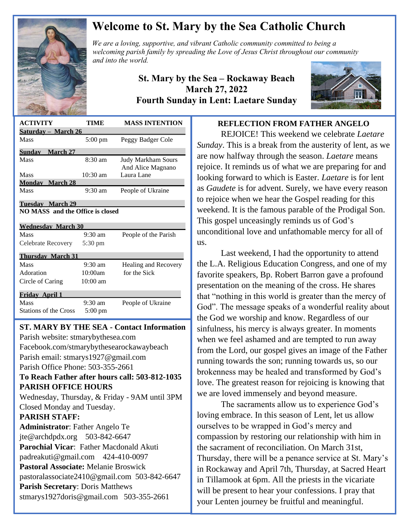

# **Welcome to St. Mary by the Sea Catholic Church**

*We are a loving, supportive, and vibrant Catholic community committed to being a We are a loving, supportive, and vibrant Catholic community committed to being a a spreading the Christ throughout our mitted to being a a manufold of the Christ throughout our mitted to being a a manufold of the Christ welcoming parish family by spreading the Love of Jesus Christ throughout our community and into the world.*

> **St. Mary by the Sea – Rockaway Beach March 27, 2022 Fourth Sunday in Lent: Laetare Sunday**



| <b>ACTIVITY</b>                         | TIME               | <b>MASS INTENTION</b>                          |
|-----------------------------------------|--------------------|------------------------------------------------|
| Saturday - March 26                     |                    |                                                |
| Mass                                    | $5:00 \text{ pm}$  | Peggy Badger Cole                              |
| Sunday March 27                         |                    |                                                |
| <b>Mass</b>                             | $8:30 \text{ am}$  | <b>Judy Markham Sours</b><br>And Alice Magnano |
| <b>Mass</b>                             | $10:30 \text{ am}$ | Laura Lane                                     |
| <b>Monday</b> March 28                  |                    |                                                |
| Mass                                    | $9:30$ am          | People of Ukraine                              |
| Tuesday March 29                        |                    |                                                |
| <b>NO MASS</b> and the Office is closed |                    |                                                |
|                                         |                    |                                                |
| <b>Wednesday March 30</b>               |                    |                                                |
| Mass                                    | $9:30 \text{ am}$  | People of the Parish                           |
| Celebrate Recovery                      | 5:30 pm            |                                                |
|                                         |                    |                                                |
| <b>Thursday March 31</b>                |                    |                                                |
| <b>Mass</b>                             | $9:30$ am          | Healing and Recovery                           |
| Adoration                               | 10:00am            | for the Sick                                   |
| Circle of Caring                        | $10:00$ am         |                                                |
| Fridav April 1                          |                    |                                                |
| <b>Mass</b>                             | $9:30 \text{ am}$  | People of Ukraine                              |
| <b>Stations of the Cross</b>            | 5:00 pm            |                                                |

# **ST. MARY BY THE SEA - Contact Information**  $\overline{a}$

 

 Facebook.com/stmarybythesearockawaybeach Parish website: stmarybythesea.com Parish email: stmarys1927@gmail.com Parish Office Phone: 503-355-2661 **To Reach Father after hours call: 503-812-1035 PARISH OFFICE HOURS** Wednesday, Thursday, & Friday - 9AM until 3PM Closed Monday and Tuesday. **PARISH STAFF: Administrator**: Father Angelo Te jte@archdpdx.org 503-842-6647 **Parochial Vicar**: Father Macdonald Akuti padreakuti@gmail.com 424-410-0097 **Pastoral Associate:** Melanie Broswick pastoralassociate2410@gmail.com 503-842-6647 **Parish Secretary**: Doris Matthews stmarys1927doris@gmail.com 503-355-2661

### **REFLECTION FROM FATHER ANGELO**

REJOICE! This weekend we celebrate *Laetare Sunday*. This is a break from the austerity of lent, as we are now halfway through the season. *Laetare* means rejoice. It reminds us of what we are preparing for and looking forward to which is Easter. *Laetare* is for lent as *Gaudete* is for advent. Surely, we have every reason to rejoice when we hear the Gospel reading for this weekend. It is the famous parable of the Prodigal Son. This gospel unceasingly reminds us of God's unconditional love and unfathomable mercy for all of us.

Last weekend, I had the opportunity to attend the L.A. Religious Education Congress, and one of my favorite speakers, Bp. Robert Barron gave a profound presentation on the meaning of the cross. He shares that "nothing in this world is greater than the mercy of God". The message speaks of a wonderful reality about the God we worship and know. Regardless of our sinfulness, his mercy is always greater. In moments when we feel ashamed and are tempted to run away from the Lord, our gospel gives an image of the Father running towards the son; running towards us, so our brokenness may be healed and transformed by God's love. The greatest reason for rejoicing is knowing that we are loved immensely and beyond measure.

The sacraments allow us to experience God's loving embrace. In this season of Lent, let us allow ourselves to be wrapped in God's mercy and compassion by restoring our relationship with him in the sacrament of reconciliation. On March 31st, Thursday, there will be a penance service at St. Mary's in Rockaway and April 7th, Thursday, at Sacred Heart in Tillamook at 6pm. All the priests in the vicariate will be present to hear your confessions. I pray that your Lenten journey be fruitful and meaningful.